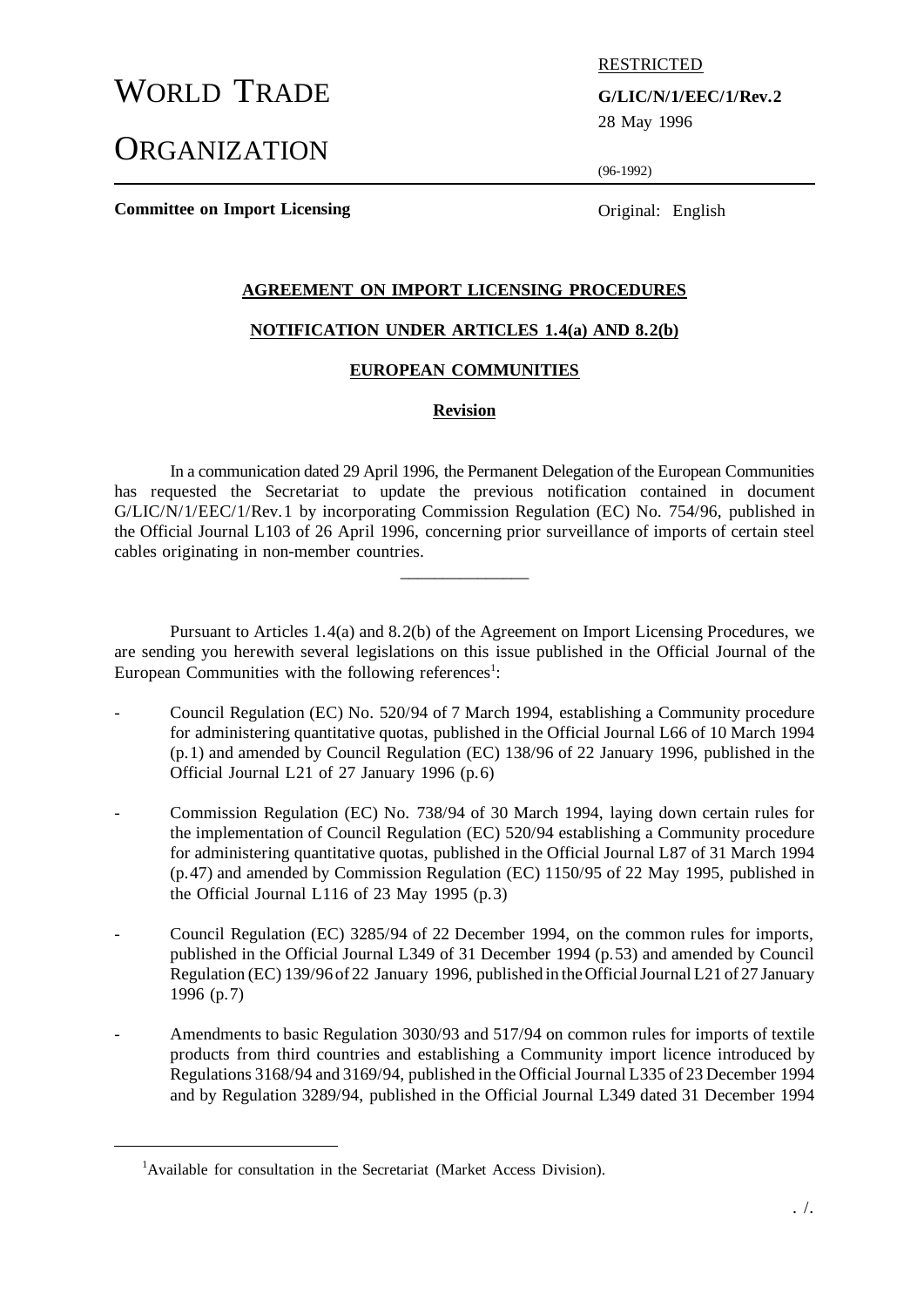# WORLD TRADE **G/LIC/N/1/EEC/1/Rev.2**

**ORGANIZATION** 

RESTRICTED

28 May 1996

(96-1992)

**Committee on Import Licensing Committee on Import Licensing Committee on Import Licensing** 

## **AGREEMENT ON IMPORT LICENSING PROCEDURES**

#### **NOTIFICATION UNDER ARTICLES 1.4(a) AND 8.2(b)**

## **EUROPEAN COMMUNITIES**

#### **Revision**

In a communication dated 29 April 1996, the Permanent Delegation of the European Communities has requested the Secretariat to update the previous notification contained in document G/LIC/N/1/EEC/1/Rev.1 by incorporating Commission Regulation (EC) No. 754/96, published in the Official Journal L103 of 26 April 1996, concerning prior surveillance of imports of certain steel cables originating in non-member countries.

 $\overline{\phantom{a}}$  , where  $\overline{\phantom{a}}$ 

Pursuant to Articles 1.4(a) and 8.2(b) of the Agreement on Import Licensing Procedures, we are sending you herewith several legislations on this issue published in the Official Journal of the European Communities with the following references<sup>1</sup>:

- Council Regulation (EC) No. 520/94 of 7 March 1994, establishing a Community procedure for administering quantitative quotas, published in the Official Journal L66 of 10 March 1994 (p.1) and amended by Council Regulation (EC) 138/96 of 22 January 1996, published in the Official Journal L21 of 27 January 1996 (p.6)
- Commission Regulation (EC) No. 738/94 of 30 March 1994, laying down certain rules for the implementation of Council Regulation (EC) 520/94 establishing a Community procedure for administering quantitative quotas, published in the Official Journal L87 of 31 March 1994 (p.47) and amended by Commission Regulation (EC) 1150/95 of 22 May 1995, published in the Official Journal L116 of 23 May 1995 (p.3)
- Council Regulation (EC) 3285/94 of 22 December 1994, on the common rules for imports, published in the Official Journal L349 of 31 December 1994 (p.53) and amended by Council Regulation (EC) 139/96 of 22 January 1996, published in the Official Journal L21 of 27 January 1996 (p.7)
- Amendments to basic Regulation 3030/93 and 517/94 on common rules for imports of textile products from third countries and establishing a Community import licence introduced by Regulations 3168/94 and 3169/94, published in the Official Journal L335 of 23 December 1994 and by Regulation 3289/94, published in the Official Journal L349 dated 31 December 1994

<sup>&</sup>lt;sup>1</sup>Available for consultation in the Secretariat (Market Access Division).